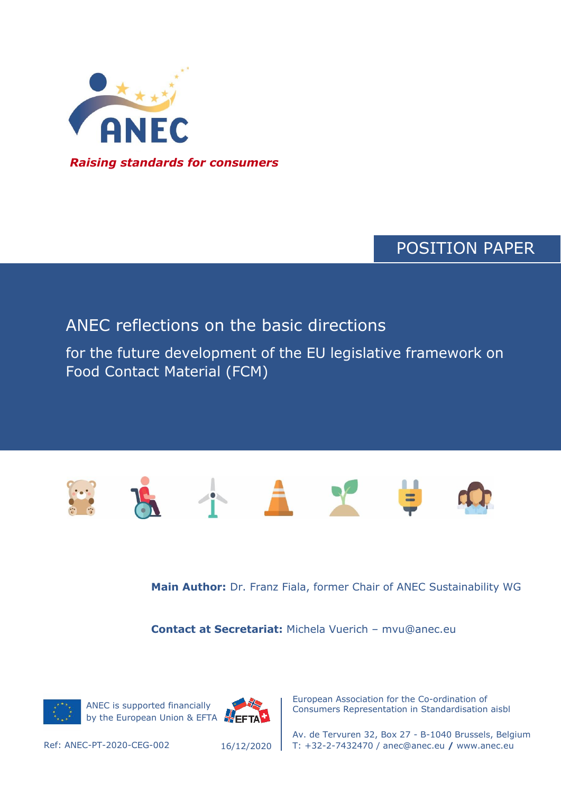

## POSITION PAPER

### ANEC reflections on the basic directions

for the future development of the EU legislative framework on Food Contact Material (FCM)



**Main Author:** Dr. Franz Fiala, former Chair of ANEC Sustainability WG

**Contact at Secretariat:** Michela Vuerich – mvu@anec.eu







European Association for the Co-ordination of Consumers Representation in Standardisation aisbl

Av. de Tervuren 32, Box 27 - B-1040 Brussels, Belgium Ref: ANEC-PT-2020-CEG-002 T: +32-2-7432470 / anec@anec.eu **/** www.anec.eu

16/12/2020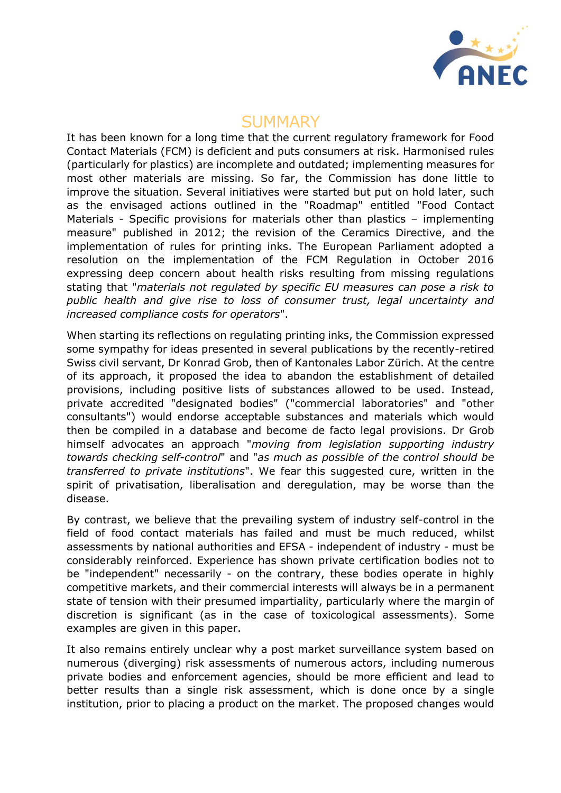

### **SUMMARY**

It has been known for a long time that the current regulatory framework for Food Contact Materials (FCM) is deficient and puts consumers at risk. Harmonised rules (particularly for plastics) are incomplete and outdated; implementing measures for most other materials are missing. So far, the Commission has done little to improve the situation. Several initiatives were started but put on hold later, such as the envisaged actions outlined in the "Roadmap" entitled "Food Contact Materials - Specific provisions for materials other than plastics – implementing measure" published in 2012; the revision of the Ceramics Directive, and the implementation of rules for printing inks. The European Parliament adopted a resolution on the implementation of the FCM Regulation in October 2016 expressing deep concern about health risks resulting from missing regulations stating that "*materials not regulated by specific EU measures can pose a risk to public health and give rise to loss of consumer trust, legal uncertainty and increased compliance costs for operators*".

When starting its reflections on regulating printing inks, the Commission expressed some sympathy for ideas presented in several publications by the recently-retired Swiss civil servant, Dr Konrad Grob, then of Kantonales Labor Zürich. At the centre of its approach, it proposed the idea to abandon the establishment of detailed provisions, including positive lists of substances allowed to be used. Instead, private accredited "designated bodies" ("commercial laboratories" and "other consultants") would endorse acceptable substances and materials which would then be compiled in a database and become de facto legal provisions. Dr Grob himself advocates an approach "*moving from legislation supporting industry towards checking self-control*" and "*as much as possible of the control should be transferred to private institutions*". We fear this suggested cure, written in the spirit of privatisation, liberalisation and deregulation, may be worse than the disease.

By contrast, we believe that the prevailing system of industry self-control in the field of food contact materials has failed and must be much reduced, whilst assessments by national authorities and EFSA - independent of industry - must be considerably reinforced. Experience has shown private certification bodies not to be "independent" necessarily - on the contrary, these bodies operate in highly competitive markets, and their commercial interests will always be in a permanent state of tension with their presumed impartiality, particularly where the margin of discretion is significant (as in the case of toxicological assessments). Some examples are given in this paper.

It also remains entirely unclear why a post market surveillance system based on numerous (diverging) risk assessments of numerous actors, including numerous private bodies and enforcement agencies, should be more efficient and lead to better results than a single risk assessment, which is done once by a single institution, prior to placing a product on the market. The proposed changes would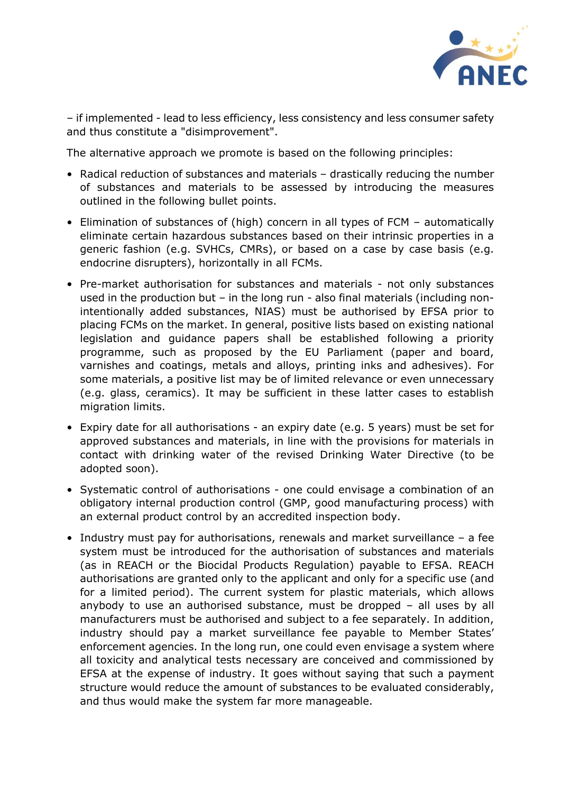

– if implemented - lead to less efficiency, less consistency and less consumer safety and thus constitute a "disimprovement".

The alternative approach we promote is based on the following principles:

- Radical reduction of substances and materials drastically reducing the number of substances and materials to be assessed by introducing the measures outlined in the following bullet points.
- Elimination of substances of (high) concern in all types of FCM automatically eliminate certain hazardous substances based on their intrinsic properties in a generic fashion (e.g. SVHCs, CMRs), or based on a case by case basis (e.g. endocrine disrupters), horizontally in all FCMs.
- Pre-market authorisation for substances and materials not only substances used in the production but – in the long run - also final materials (including nonintentionally added substances, NIAS) must be authorised by EFSA prior to placing FCMs on the market. In general, positive lists based on existing national legislation and guidance papers shall be established following a priority programme, such as proposed by the EU Parliament (paper and board, varnishes and coatings, metals and alloys, printing inks and adhesives). For some materials, a positive list may be of limited relevance or even unnecessary (e.g. glass, ceramics). It may be sufficient in these latter cases to establish migration limits.
- Expiry date for all authorisations an expiry date (e.g. 5 years) must be set for approved substances and materials, in line with the provisions for materials in contact with drinking water of the revised Drinking Water Directive (to be adopted soon).
- Systematic control of authorisations one could envisage a combination of an obligatory internal production control (GMP, good manufacturing process) with an external product control by an accredited inspection body.
- Industry must pay for authorisations, renewals and market surveillance a fee system must be introduced for the authorisation of substances and materials (as in REACH or the Biocidal Products Regulation) payable to EFSA. REACH authorisations are granted only to the applicant and only for a specific use (and for a limited period). The current system for plastic materials, which allows anybody to use an authorised substance, must be dropped – all uses by all manufacturers must be authorised and subject to a fee separately. In addition, industry should pay a market surveillance fee payable to Member States' enforcement agencies. In the long run, one could even envisage a system where all toxicity and analytical tests necessary are conceived and commissioned by EFSA at the expense of industry. It goes without saying that such a payment structure would reduce the amount of substances to be evaluated considerably, and thus would make the system far more manageable.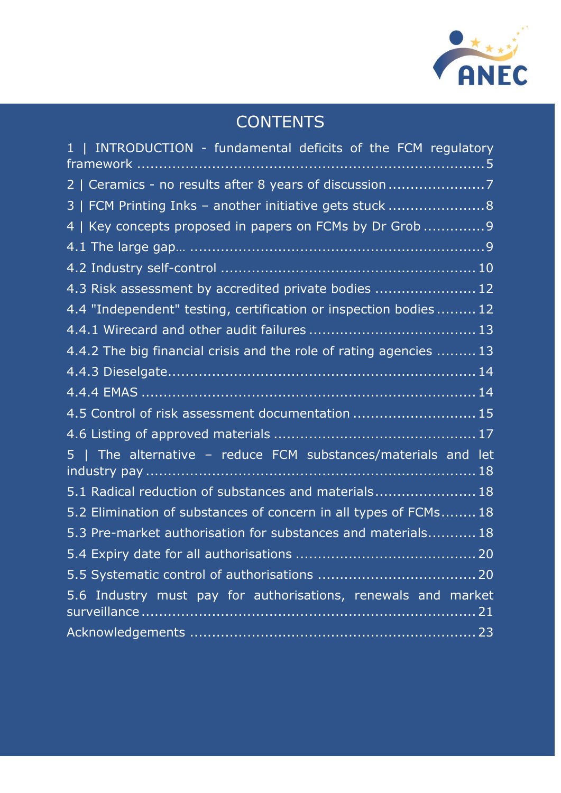

# **CONTENTS**

| 1   INTRODUCTION - fundamental deficits of the FCM regulatory      |  |
|--------------------------------------------------------------------|--|
| 2   Ceramics - no results after 8 years of discussion              |  |
| 3   FCM Printing Inks - another initiative gets stuck 8            |  |
| 4   Key concepts proposed in papers on FCMs by Dr Grob  9          |  |
|                                                                    |  |
|                                                                    |  |
| 4.3 Risk assessment by accredited private bodies  12               |  |
| 4.4 "Independent" testing, certification or inspection bodies 12   |  |
|                                                                    |  |
| 4.4.2 The big financial crisis and the role of rating agencies  13 |  |
|                                                                    |  |
|                                                                    |  |
| 4.5 Control of risk assessment documentation  15                   |  |
|                                                                    |  |
| 5   The alternative - reduce FCM substances/materials and let      |  |
| 5.1 Radical reduction of substances and materials 18               |  |
| 5.2 Elimination of substances of concern in all types of FCMs 18   |  |
| 5.3 Pre-market authorisation for substances and materials 18       |  |
|                                                                    |  |
|                                                                    |  |
| 5.6 Industry must pay for authorisations, renewals and market      |  |
|                                                                    |  |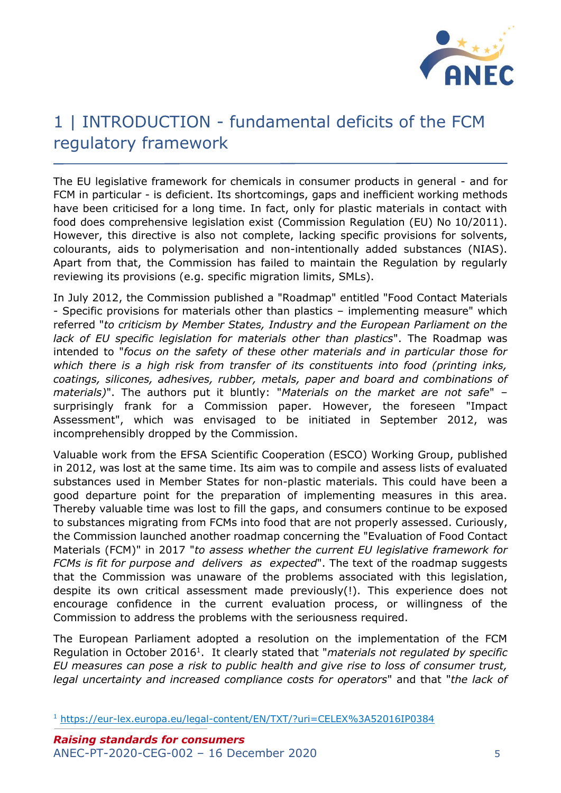

## <span id="page-4-0"></span>1 | INTRODUCTION - fundamental deficits of the FCM regulatory framework

The EU legislative framework for chemicals in consumer products in general - and for FCM in particular - is deficient. Its shortcomings, gaps and inefficient working methods have been criticised for a long time. In fact, only for plastic materials in contact with food does comprehensive legislation exist (Commission Regulation (EU) No 10/2011). However, this directive is also not complete, lacking specific provisions for solvents, colourants, aids to polymerisation and non-intentionally added substances (NIAS). Apart from that, the Commission has failed to maintain the Regulation by regularly reviewing its provisions (e.g. specific migration limits, SMLs).

In July 2012, the Commission published a "Roadmap" entitled "Food Contact Materials - Specific provisions for materials other than plastics – implementing measure" which referred "*to criticism by Member States, Industry and the European Parliament on the lack of EU specific legislation for materials other than plastics*". The Roadmap was intended to "*focus on the safety of these other materials and in particular those for which there is a high risk from transfer of its constituents into food (printing inks, coatings, silicones, adhesives, rubber, metals, paper and board and combinations of materials)*". The authors put it bluntly: "*Materials on the market are not safe*" – surprisingly frank for a Commission paper. However, the foreseen "Impact Assessment", which was envisaged to be initiated in September 2012, was incomprehensibly dropped by the Commission.

Valuable work from the EFSA Scientific Cooperation (ESCO) Working Group, published in 2012, was lost at the same time. Its aim was to compile and assess lists of evaluated substances used in Member States for non-plastic materials. This could have been a good departure point for the preparation of implementing measures in this area. Thereby valuable time was lost to fill the gaps, and consumers continue to be exposed to substances migrating from FCMs into food that are not properly assessed. Curiously, the Commission launched another roadmap concerning the "Evaluation of Food Contact Materials (FCM)" in 2017 "*to assess whether the current EU legislative framework for FCMs is fit for purpose and delivers as expected*". The text of the roadmap suggests that the Commission was unaware of the problems associated with this legislation, despite its own critical assessment made previously(!). This experience does not encourage confidence in the current evaluation process, or willingness of the Commission to address the problems with the seriousness required.

The European Parliament adopted a resolution on the implementation of the FCM Regulation in October 2016<sup>1</sup>. It clearly stated that "*materials not regulated by specific EU measures can pose a risk to public health and give rise to loss of consumer trust, legal uncertainty and increased compliance costs for operators*" and that "*the lack of* 

<sup>1</sup> <https://eur-lex.europa.eu/legal-content/EN/TXT/?uri=CELEX%3A52016IP0384>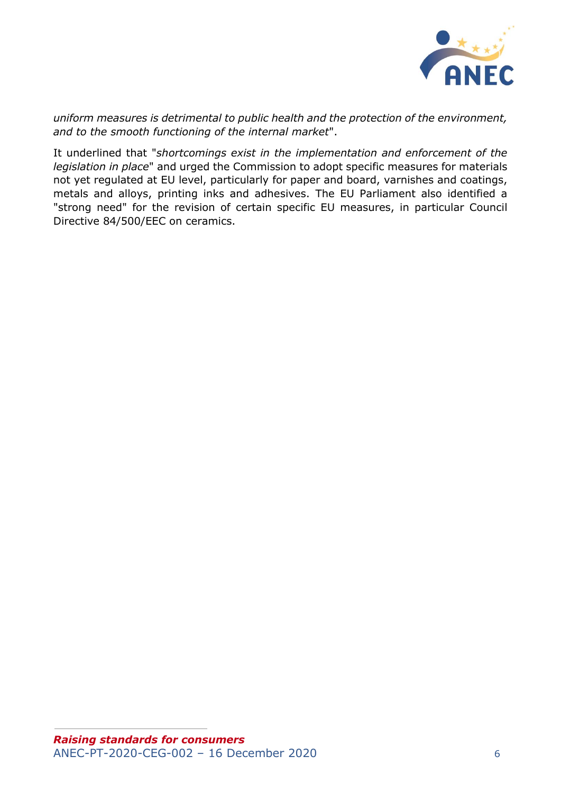

*uniform measures is detrimental to public health and the protection of the environment, and to the smooth functioning of the internal market*".

It underlined that "*shortcomings exist in the implementation and enforcement of the legislation in place*" and urged the Commission to adopt specific measures for materials not yet regulated at EU level, particularly for paper and board, varnishes and coatings, metals and alloys, printing inks and adhesives. The EU Parliament also identified a "strong need" for the revision of certain specific EU measures, in particular Council Directive 84/500/EEC on ceramics.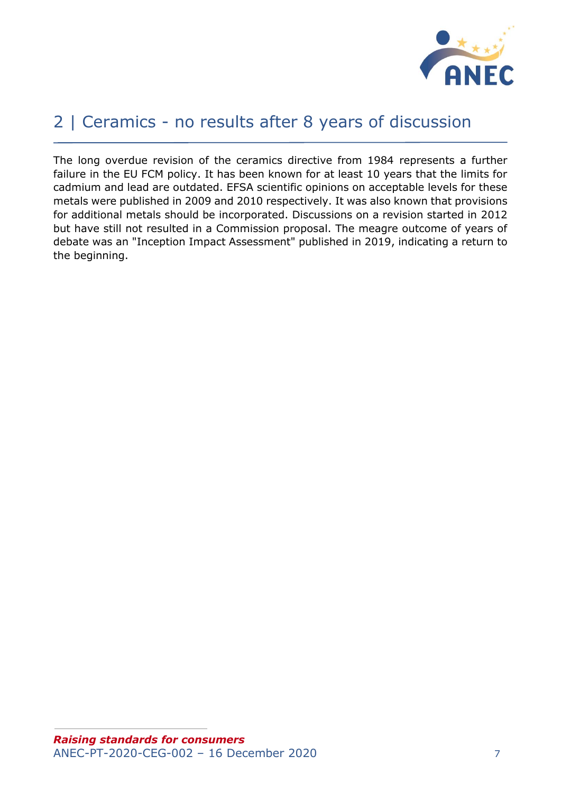

## <span id="page-6-0"></span>2 | Ceramics - no results after 8 years of discussion

The long overdue revision of the ceramics directive from 1984 represents a further failure in the EU FCM policy. It has been known for at least 10 years that the limits for cadmium and lead are outdated. EFSA scientific opinions on acceptable levels for these metals were published in 2009 and 2010 respectively. It was also known that provisions for additional metals should be incorporated. Discussions on a revision started in 2012 but have still not resulted in a Commission proposal. The meagre outcome of years of debate was an "Inception Impact Assessment" published in 2019, indicating a return to the beginning.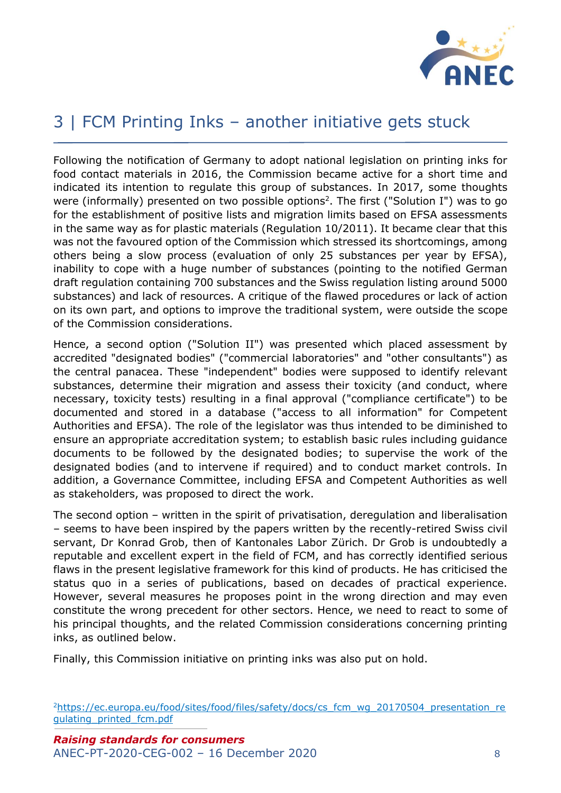

## <span id="page-7-0"></span>3 | FCM Printing Inks – another initiative gets stuck

Following the notification of Germany to adopt national legislation on printing inks for food contact materials in 2016, the Commission became active for a short time and indicated its intention to regulate this group of substances. In 2017, some thoughts were (informally) presented on two possible options<sup>2</sup>. The first ("Solution I") was to go for the establishment of positive lists and migration limits based on EFSA assessments in the same way as for plastic materials (Regulation 10/2011). It became clear that this was not the favoured option of the Commission which stressed its shortcomings, among others being a slow process (evaluation of only 25 substances per year by EFSA), inability to cope with a huge number of substances (pointing to the notified German draft regulation containing 700 substances and the Swiss regulation listing around 5000 substances) and lack of resources. A critique of the flawed procedures or lack of action on its own part, and options to improve the traditional system, were outside the scope of the Commission considerations.

Hence, a second option ("Solution II") was presented which placed assessment by accredited "designated bodies" ("commercial laboratories" and "other consultants") as the central panacea. These "independent" bodies were supposed to identify relevant substances, determine their migration and assess their toxicity (and conduct, where necessary, toxicity tests) resulting in a final approval ("compliance certificate") to be documented and stored in a database ("access to all information" for Competent Authorities and EFSA). The role of the legislator was thus intended to be diminished to ensure an appropriate accreditation system; to establish basic rules including guidance documents to be followed by the designated bodies; to supervise the work of the designated bodies (and to intervene if required) and to conduct market controls. In addition, a Governance Committee, including EFSA and Competent Authorities as well as stakeholders, was proposed to direct the work.

The second option – written in the spirit of privatisation, deregulation and liberalisation – seems to have been inspired by the papers written by the recently-retired Swiss civil servant, Dr Konrad Grob, then of Kantonales Labor Zürich. Dr Grob is undoubtedly a reputable and excellent expert in the field of FCM, and has correctly identified serious flaws in the present legislative framework for this kind of products. He has criticised the status quo in a series of publications, based on decades of practical experience. However, several measures he proposes point in the wrong direction and may even constitute the wrong precedent for other sectors. Hence, we need to react to some of his principal thoughts, and the related Commission considerations concerning printing inks, as outlined below.

Finally, this Commission initiative on printing inks was also put on hold.

<sup>2</sup>[https://ec.europa.eu/food/sites/food/files/safety/docs/cs\\_fcm\\_wg\\_20170504\\_presentation\\_re](https://ec.europa.eu/food/sites/food/files/safety/docs/cs_fcm_wg_20170504_presentation_regulating_printed_fcm.pdf) [gulating\\_printed\\_fcm.pdf](https://ec.europa.eu/food/sites/food/files/safety/docs/cs_fcm_wg_20170504_presentation_regulating_printed_fcm.pdf)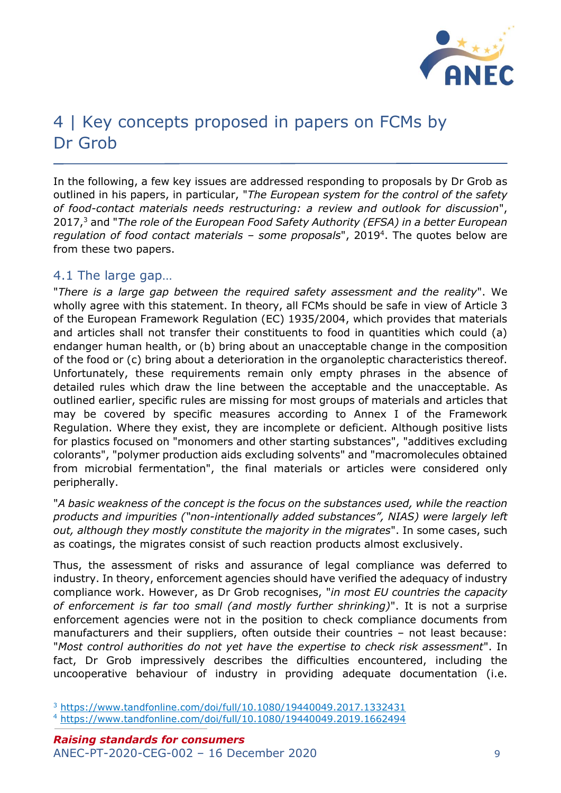

## <span id="page-8-0"></span>4 | Key concepts proposed in papers on FCMs by Dr Grob

In the following, a few key issues are addressed responding to proposals by Dr Grob as outlined in his papers, in particular, "*The European system for the control of the safety of food-contact materials needs restructuring: a review and outlook for discussion*", 2017,<sup>3</sup> and "*The role of the European Food Safety Authority (EFSA) in a better European regulation of food contact materials – some proposals*", 2019<sup>4</sup> . The quotes below are from these two papers.

#### <span id="page-8-1"></span>4.1 The large gap…

"*There is a large gap between the required safety assessment and the reality*". We wholly agree with this statement. In theory, all FCMs should be safe in view of Article 3 of the European Framework Regulation (EC) 1935/2004, which provides that materials and articles shall not transfer their constituents to food in quantities which could (a) endanger human health, or (b) bring about an unacceptable change in the composition of the food or (c) bring about a deterioration in the organoleptic characteristics thereof. Unfortunately, these requirements remain only empty phrases in the absence of detailed rules which draw the line between the acceptable and the unacceptable. As outlined earlier, specific rules are missing for most groups of materials and articles that may be covered by specific measures according to Annex I of the Framework Regulation. Where they exist, they are incomplete or deficient. Although positive lists for plastics focused on "monomers and other starting substances", "additives excluding colorants", "polymer production aids excluding solvents" and "macromolecules obtained from microbial fermentation", the final materials or articles were considered only peripherally.

"*A basic weakness of the concept is the focus on the substances used, while the reaction products and impurities ("non-intentionally added substances", NIAS) were largely left out, although they mostly constitute the majority in the migrates*". In some cases, such as coatings, the migrates consist of such reaction products almost exclusively.

Thus, the assessment of risks and assurance of legal compliance was deferred to industry. In theory, enforcement agencies should have verified the adequacy of industry compliance work. However, as Dr Grob recognises, "*in most EU countries the capacity of enforcement is far too small (and mostly further shrinking)*". It is not a surprise enforcement agencies were not in the position to check compliance documents from manufacturers and their suppliers, often outside their countries – not least because: "*Most control authorities do not yet have the expertise to check risk assessment*". In fact, Dr Grob impressively describes the difficulties encountered, including the uncooperative behaviour of industry in providing adequate documentation (i.e.

<sup>3</sup> <https://www.tandfonline.com/doi/full/10.1080/19440049.2017.1332431>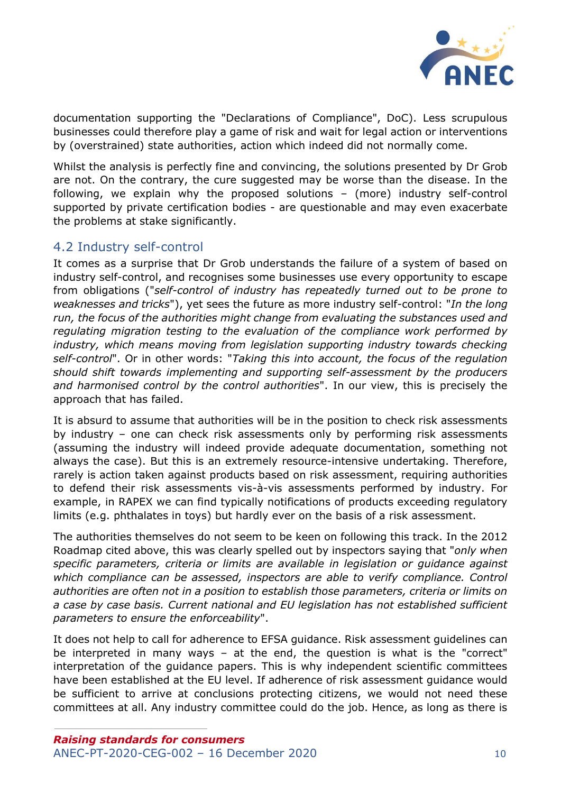

documentation supporting the "Declarations of Compliance", DoC). Less scrupulous businesses could therefore play a game of risk and wait for legal action or interventions by (overstrained) state authorities, action which indeed did not normally come.

Whilst the analysis is perfectly fine and convincing, the solutions presented by Dr Grob are not. On the contrary, the cure suggested may be worse than the disease. In the following, we explain why the proposed solutions – (more) industry self-control supported by private certification bodies - are questionable and may even exacerbate the problems at stake significantly.

#### <span id="page-9-0"></span>4.2 Industry self-control

It comes as a surprise that Dr Grob understands the failure of a system of based on industry self-control, and recognises some businesses use every opportunity to escape from obligations ("*self-control of industry has repeatedly turned out to be prone to weaknesses and tricks*"), yet sees the future as more industry self-control: "*In the long run, the focus of the authorities might change from evaluating the substances used and regulating migration testing to the evaluation of the compliance work performed by industry, which means moving from legislation supporting industry towards checking self-control*". Or in other words: "*Taking this into account, the focus of the regulation should shift towards implementing and supporting self-assessment by the producers and harmonised control by the control authorities*". In our view, this is precisely the approach that has failed.

It is absurd to assume that authorities will be in the position to check risk assessments by industry – one can check risk assessments only by performing risk assessments (assuming the industry will indeed provide adequate documentation, something not always the case). But this is an extremely resource-intensive undertaking. Therefore, rarely is action taken against products based on risk assessment, requiring authorities to defend their risk assessments vis-à-vis assessments performed by industry. For example, in RAPEX we can find typically notifications of products exceeding regulatory limits (e.g. phthalates in toys) but hardly ever on the basis of a risk assessment.

The authorities themselves do not seem to be keen on following this track. In the 2012 Roadmap cited above, this was clearly spelled out by inspectors saying that "*only when specific parameters, criteria or limits are available in legislation or guidance against which compliance can be assessed, inspectors are able to verify compliance. Control authorities are often not in a position to establish those parameters, criteria or limits on a case by case basis. Current national and EU legislation has not established sufficient parameters to ensure the enforceability*".

It does not help to call for adherence to EFSA guidance. Risk assessment guidelines can be interpreted in many ways – at the end, the question is what is the "correct" interpretation of the guidance papers. This is why independent scientific committees have been established at the EU level. If adherence of risk assessment guidance would be sufficient to arrive at conclusions protecting citizens, we would not need these committees at all. Any industry committee could do the job. Hence, as long as there is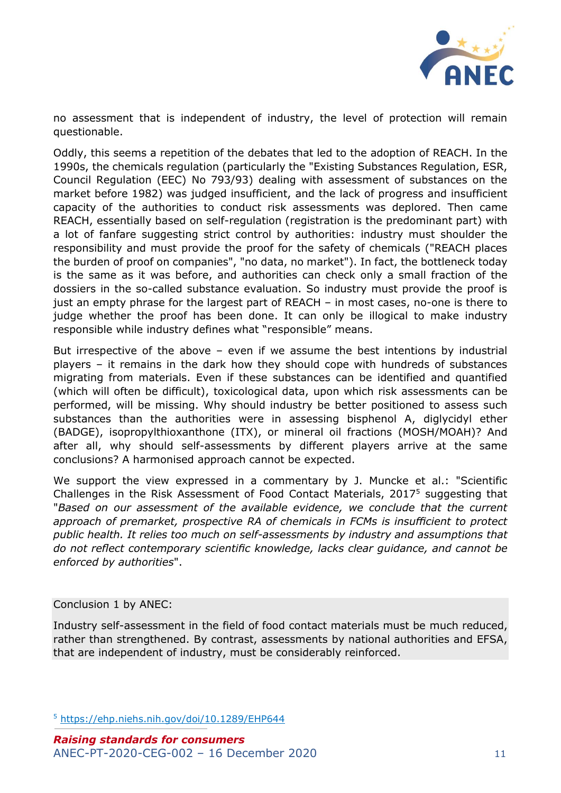

no assessment that is independent of industry, the level of protection will remain questionable.

Oddly, this seems a repetition of the debates that led to the adoption of REACH. In the 1990s, the chemicals regulation (particularly the "Existing Substances Regulation, ESR, Council Regulation (EEC) No 793/93) dealing with assessment of substances on the market before 1982) was judged insufficient, and the lack of progress and insufficient capacity of the authorities to conduct risk assessments was deplored. Then came REACH, essentially based on self-regulation (registration is the predominant part) with a lot of fanfare suggesting strict control by authorities: industry must shoulder the responsibility and must provide the proof for the safety of chemicals ("REACH places the burden of proof on companies", "no data, no market"). In fact, the bottleneck today is the same as it was before, and authorities can check only a small fraction of the dossiers in the so-called substance evaluation. So industry must provide the proof is just an empty phrase for the largest part of REACH – in most cases, no-one is there to judge whether the proof has been done. It can only be illogical to make industry responsible while industry defines what "responsible" means.

But irrespective of the above – even if we assume the best intentions by industrial players – it remains in the dark how they should cope with hundreds of substances migrating from materials. Even if these substances can be identified and quantified (which will often be difficult), toxicological data, upon which risk assessments can be performed, will be missing. Why should industry be better positioned to assess such substances than the authorities were in assessing bisphenol A, diglycidyl ether (BADGE), isopropylthioxanthone (ITX), or mineral oil fractions (MOSH/MOAH)? And after all, why should self-assessments by different players arrive at the same conclusions? A harmonised approach cannot be expected.

We support the view expressed in a commentary by J. Muncke et al.: "Scientific Challenges in the Risk Assessment of Food Contact Materials,  $2017<sup>5</sup>$  suggesting that "*Based on our assessment of the available evidence, we conclude that the current approach of premarket, prospective RA of chemicals in FCMs is insufficient to protect public health. It relies too much on self-assessments by industry and assumptions that do not reflect contemporary scientific knowledge, lacks clear guidance, and cannot be enforced by authorities*".

#### Conclusion 1 by ANEC:

Industry self-assessment in the field of food contact materials must be much reduced, rather than strengthened. By contrast, assessments by national authorities and EFSA, that are independent of industry, must be considerably reinforced.

<sup>5</sup> <https://ehp.niehs.nih.gov/doi/10.1289/EHP644>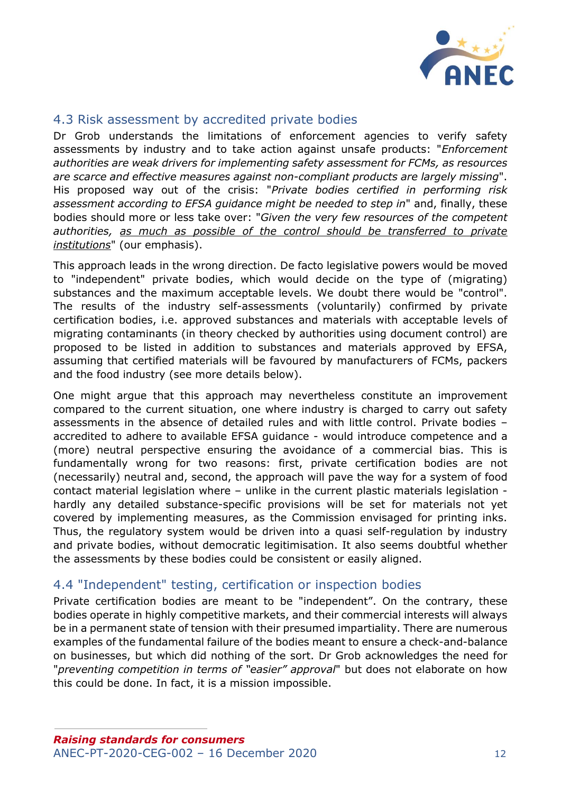

#### <span id="page-11-0"></span>4.3 Risk assessment by accredited private bodies

Dr Grob understands the limitations of enforcement agencies to verify safety assessments by industry and to take action against unsafe products: "*Enforcement authorities are weak drivers for implementing safety assessment for FCMs, as resources are scarce and effective measures against non-compliant products are largely missing*". His proposed way out of the crisis: "*Private bodies certified in performing risk assessment according to EFSA guidance might be needed to step in*" and, finally, these bodies should more or less take over: "*Given the very few resources of the competent authorities, as much as possible of the control should be transferred to private institutions*" (our emphasis).

This approach leads in the wrong direction. De facto legislative powers would be moved to "independent" private bodies, which would decide on the type of (migrating) substances and the maximum acceptable levels. We doubt there would be "control". The results of the industry self-assessments (voluntarily) confirmed by private certification bodies, i.e. approved substances and materials with acceptable levels of migrating contaminants (in theory checked by authorities using document control) are proposed to be listed in addition to substances and materials approved by EFSA, assuming that certified materials will be favoured by manufacturers of FCMs, packers and the food industry (see more details below).

One might argue that this approach may nevertheless constitute an improvement compared to the current situation, one where industry is charged to carry out safety assessments in the absence of detailed rules and with little control. Private bodies – accredited to adhere to available EFSA guidance - would introduce competence and a (more) neutral perspective ensuring the avoidance of a commercial bias. This is fundamentally wrong for two reasons: first, private certification bodies are not (necessarily) neutral and, second, the approach will pave the way for a system of food contact material legislation where – unlike in the current plastic materials legislation hardly any detailed substance-specific provisions will be set for materials not yet covered by implementing measures, as the Commission envisaged for printing inks. Thus, the regulatory system would be driven into a quasi self-regulation by industry and private bodies, without democratic legitimisation. It also seems doubtful whether the assessments by these bodies could be consistent or easily aligned.

#### <span id="page-11-1"></span>4.4 "Independent" testing, certification or inspection bodies

Private certification bodies are meant to be "independent". On the contrary, these bodies operate in highly competitive markets, and their commercial interests will always be in a permanent state of tension with their presumed impartiality. There are numerous examples of the fundamental failure of the bodies meant to ensure a check-and-balance on businesses, but which did nothing of the sort. Dr Grob acknowledges the need for "*preventing competition in terms of "easier" approval*" but does not elaborate on how this could be done. In fact, it is a mission impossible.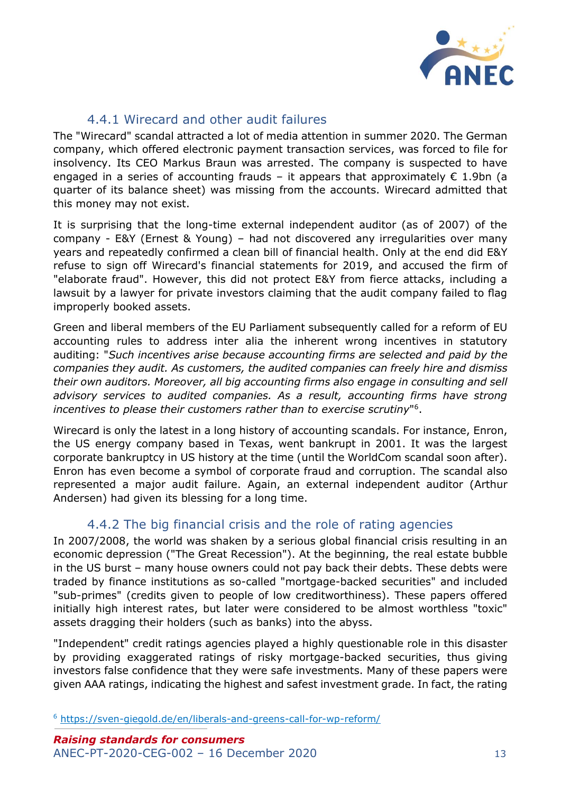

### 4.4.1 Wirecard and other audit failures

<span id="page-12-0"></span>The "Wirecard" scandal attracted a lot of media attention in summer 2020. The German company, which offered electronic payment transaction services, was forced to file for insolvency. Its CEO Markus Braun was arrested. The company is suspected to have engaged in a series of accounting frauds – it appears that approximately  $\epsilon$  1.9bn (a quarter of its balance sheet) was missing from the accounts. Wirecard admitted that this money may not exist.

It is surprising that the long-time external independent auditor (as of 2007) of the company - E&Y (Ernest & Young) – had not discovered any irregularities over many years and repeatedly confirmed a clean bill of financial health. Only at the end did E&Y refuse to sign off Wirecard's financial statements for 2019, and accused the firm of "elaborate fraud". However, this did not protect E&Y from fierce attacks, including a lawsuit by a lawyer for private investors claiming that the audit company failed to flag improperly booked assets.

Green and liberal members of the EU Parliament subsequently called for a reform of EU accounting rules to address inter alia the inherent wrong incentives in statutory auditing: "*Such incentives arise because accounting firms are selected and paid by the companies they audit. As customers, the audited companies can freely hire and dismiss their own auditors. Moreover, all big accounting firms also engage in consulting and sell*  advisory services to audited companies. As a result, accounting firms have strong *incentives to please their customers rather than to exercise scrutiny*" 6 .

Wirecard is only the latest in a long history of accounting scandals. For instance, Enron, the US energy company based in Texas, went bankrupt in 2001. It was the largest corporate bankruptcy in US history at the time (until the WorldCom scandal soon after). Enron has even become a symbol of corporate fraud and corruption. The scandal also represented a major audit failure. Again, an external independent auditor (Arthur Andersen) had given its blessing for a long time.

### 4.4.2 The big financial crisis and the role of rating agencies

<span id="page-12-1"></span>In 2007/2008, the world was shaken by a serious global financial crisis resulting in an economic depression ("The Great Recession"). At the beginning, the real estate bubble in the US burst – many house owners could not pay back their debts. These debts were traded by finance institutions as so-called "mortgage-backed securities" and included "sub-primes" (credits given to people of low creditworthiness). These papers offered initially high interest rates, but later were considered to be almost worthless "toxic" assets dragging their holders (such as banks) into the abyss.

"Independent" credit ratings agencies played a highly questionable role in this disaster by providing exaggerated ratings of risky mortgage-backed securities, thus giving investors false confidence that they were safe investments. Many of these papers were given AAA ratings, indicating the highest and safest investment grade. In fact, the rating

<sup>6</sup> <https://sven-giegold.de/en/liberals-and-greens-call-for-wp-reform/>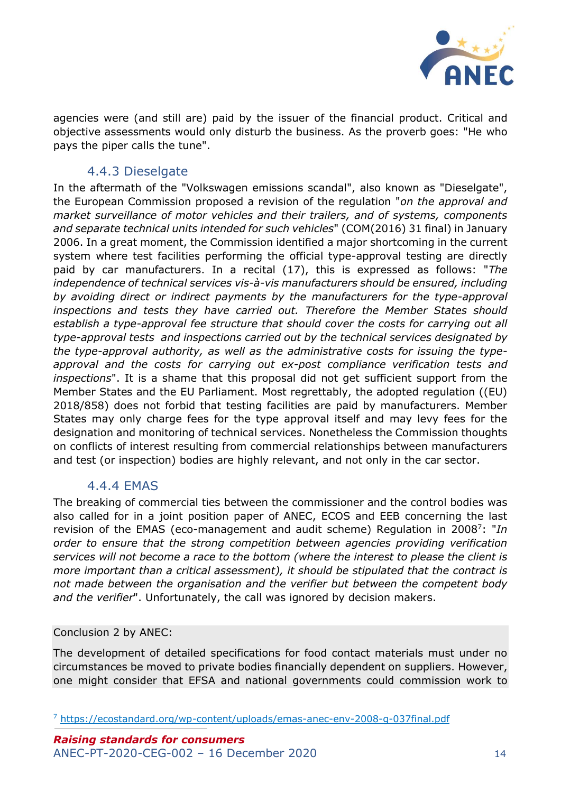

agencies were (and still are) paid by the issuer of the financial product. Critical and objective assessments would only disturb the business. As the proverb goes: "He who pays the piper calls the tune".

#### 4.4.3 Dieselgate

<span id="page-13-0"></span>In the aftermath of the "Volkswagen emissions scandal", also known as "Dieselgate", the European Commission proposed a revision of the regulation "*on the approval and market surveillance of motor vehicles and their trailers, and of systems, components and separate technical units intended for such vehicles*" (COM(2016) 31 final) in January 2006. In a great moment, the Commission identified a major shortcoming in the current system where test facilities performing the official type-approval testing are directly paid by car manufacturers. In a recital (17), this is expressed as follows: "*The independence of technical services vis-à-vis manufacturers should be ensured, including by avoiding direct or indirect payments by the manufacturers for the type-approval inspections and tests they have carried out. Therefore the Member States should establish a type-approval fee structure that should cover the costs for carrying out all type-approval tests and inspections carried out by the technical services designated by the type-approval authority, as well as the administrative costs for issuing the typeapproval and the costs for carrying out ex-post compliance verification tests and inspections*". It is a shame that this proposal did not get sufficient support from the Member States and the EU Parliament. Most regrettably, the adopted regulation ((EU) 2018/858) does not forbid that testing facilities are paid by manufacturers. Member States may only charge fees for the type approval itself and may levy fees for the designation and monitoring of technical services. Nonetheless the Commission thoughts on conflicts of interest resulting from commercial relationships between manufacturers and test (or inspection) bodies are highly relevant, and not only in the car sector.

#### 4.4.4 EMAS

<span id="page-13-1"></span>The breaking of commercial ties between the commissioner and the control bodies was also called for in a joint position paper of ANEC, ECOS and EEB concerning the last revision of the EMAS (eco-management and audit scheme) Regulation in 2008<sup>7</sup>: "In *order to ensure that the strong competition between agencies providing verification services will not become a race to the bottom (where the interest to please the client is more important than a critical assessment), it should be stipulated that the contract is not made between the organisation and the verifier but between the competent body and the verifier*". Unfortunately, the call was ignored by decision makers.

#### Conclusion 2 by ANEC:

The development of detailed specifications for food contact materials must under no circumstances be moved to private bodies financially dependent on suppliers. However, one might consider that EFSA and national governments could commission work to

<sup>7</sup> <https://ecostandard.org/wp-content/uploads/emas-anec-env-2008-g-037final.pdf>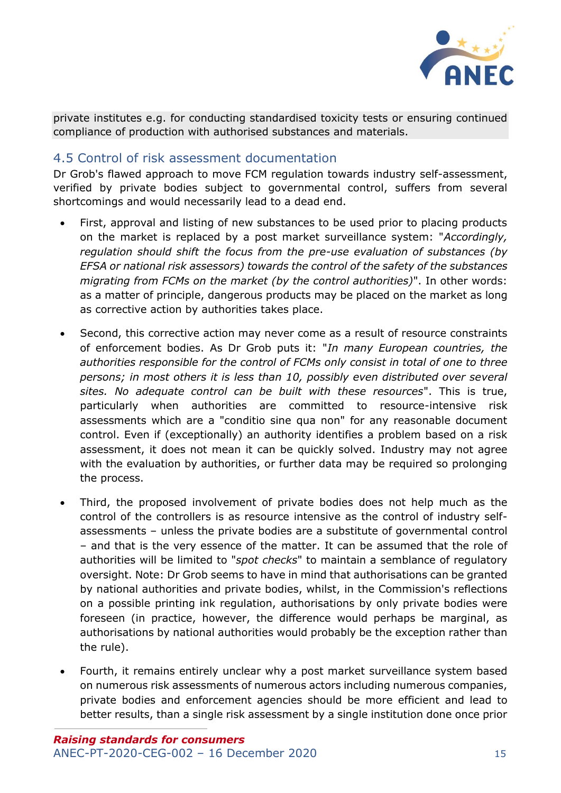

private institutes e.g. for conducting standardised toxicity tests or ensuring continued compliance of production with authorised substances and materials.

#### <span id="page-14-0"></span>4.5 Control of risk assessment documentation

Dr Grob's flawed approach to move FCM regulation towards industry self-assessment, verified by private bodies subject to governmental control, suffers from several shortcomings and would necessarily lead to a dead end.

- First, approval and listing of new substances to be used prior to placing products on the market is replaced by a post market surveillance system: "*Accordingly, regulation should shift the focus from the pre-use evaluation of substances (by EFSA or national risk assessors) towards the control of the safety of the substances migrating from FCMs on the market (by the control authorities)*". In other words: as a matter of principle, dangerous products may be placed on the market as long as corrective action by authorities takes place.
- Second, this corrective action may never come as a result of resource constraints of enforcement bodies. As Dr Grob puts it: "*In many European countries, the authorities responsible for the control of FCMs only consist in total of one to three persons; in most others it is less than 10, possibly even distributed over several sites. No adequate control can be built with these resources*". This is true, particularly when authorities are committed to resource-intensive risk assessments which are a "conditio sine qua non" for any reasonable document control. Even if (exceptionally) an authority identifies a problem based on a risk assessment, it does not mean it can be quickly solved. Industry may not agree with the evaluation by authorities, or further data may be required so prolonging the process.
- Third, the proposed involvement of private bodies does not help much as the control of the controllers is as resource intensive as the control of industry selfassessments – unless the private bodies are a substitute of governmental control – and that is the very essence of the matter. It can be assumed that the role of authorities will be limited to "*spot checks*" to maintain a semblance of regulatory oversight. Note: Dr Grob seems to have in mind that authorisations can be granted by national authorities and private bodies, whilst, in the Commission's reflections on a possible printing ink regulation, authorisations by only private bodies were foreseen (in practice, however, the difference would perhaps be marginal, as authorisations by national authorities would probably be the exception rather than the rule).
- Fourth, it remains entirely unclear why a post market surveillance system based on numerous risk assessments of numerous actors including numerous companies, private bodies and enforcement agencies should be more efficient and lead to better results, than a single risk assessment by a single institution done once prior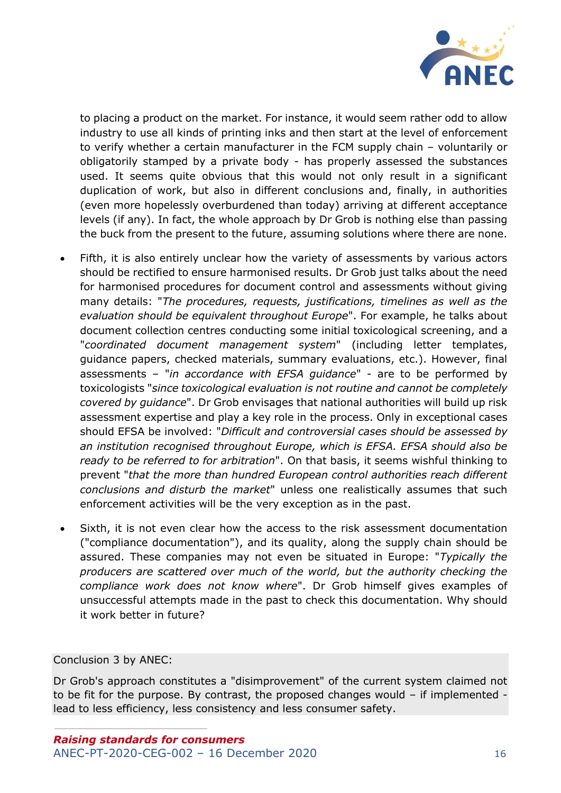

to placing a product on the market. For instance, it would seem rather odd to allow industry to use all kinds of printing inks and then start at the level of enforcement to verify whether a certain manufacturer in the FCM supply chain – voluntarily or obligatorily stamped by a private body - has properly assessed the substances used. It seems quite obvious that this would not only result in a significant duplication of work, but also in different conclusions and, finally, in authorities (even more hopelessly overburdened than today) arriving at different acceptance levels (if any). In fact, the whole approach by Dr Grob is nothing else than passing the buck from the present to the future, assuming solutions where there are none.

- Fifth, it is also entirely unclear how the variety of assessments by various actors should be rectified to ensure harmonised results. Dr Grob just talks about the need for harmonised procedures for document control and assessments without giving many details: "*The procedures, requests, justifications, timelines as well as the evaluation should be equivalent throughout Europe*". For example, he talks about document collection centres conducting some initial toxicological screening, and a "*coordinated document management system*" (including letter templates, guidance papers, checked materials, summary evaluations, etc.). However, final assessments – "*in accordance with EFSA guidance*" - are to be performed by toxicologists "*since toxicological evaluation is not routine and cannot be completely covered by guidance*". Dr Grob envisages that national authorities will build up risk assessment expertise and play a key role in the process. Only in exceptional cases should EFSA be involved: "*Difficult and controversial cases should be assessed by an institution recognised throughout Europe, which is EFSA. EFSA should also be ready to be referred to for arbitration*". On that basis, it seems wishful thinking to prevent "*that the more than hundred European control authorities reach different conclusions and disturb the market*" unless one realistically assumes that such enforcement activities will be the very exception as in the past.
- Sixth, it is not even clear how the access to the risk assessment documentation ("compliance documentation"), and its quality, along the supply chain should be assured. These companies may not even be situated in Europe: "*Typically the producers are scattered over much of the world, but the authority checking the compliance work does not know where*". Dr Grob himself gives examples of unsuccessful attempts made in the past to check this documentation. Why should it work better in future?

Conclusion 3 by ANEC:

Dr Grob's approach constitutes a "disimprovement" of the current system claimed not to be fit for the purpose. By contrast, the proposed changes would – if implemented lead to less efficiency, less consistency and less consumer safety.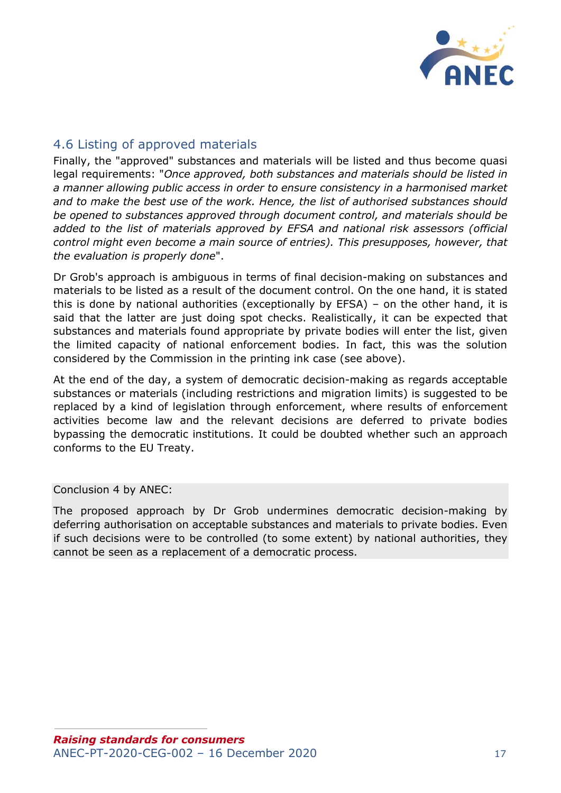

### <span id="page-16-0"></span>4.6 Listing of approved materials

Finally, the "approved" substances and materials will be listed and thus become quasi legal requirements: "*Once approved, both substances and materials should be listed in a manner allowing public access in order to ensure consistency in a harmonised market and to make the best use of the work. Hence, the list of authorised substances should be opened to substances approved through document control, and materials should be added to the list of materials approved by EFSA and national risk assessors (official control might even become a main source of entries). This presupposes, however, that the evaluation is properly done*".

Dr Grob's approach is ambiguous in terms of final decision-making on substances and materials to be listed as a result of the document control. On the one hand, it is stated this is done by national authorities (exceptionally by EFSA) – on the other hand, it is said that the latter are just doing spot checks. Realistically, it can be expected that substances and materials found appropriate by private bodies will enter the list, given the limited capacity of national enforcement bodies. In fact, this was the solution considered by the Commission in the printing ink case (see above).

At the end of the day, a system of democratic decision-making as regards acceptable substances or materials (including restrictions and migration limits) is suggested to be replaced by a kind of legislation through enforcement, where results of enforcement activities become law and the relevant decisions are deferred to private bodies bypassing the democratic institutions. It could be doubted whether such an approach conforms to the EU Treaty.

Conclusion 4 by ANEC:

The proposed approach by Dr Grob undermines democratic decision-making by deferring authorisation on acceptable substances and materials to private bodies. Even if such decisions were to be controlled (to some extent) by national authorities, they cannot be seen as a replacement of a democratic process.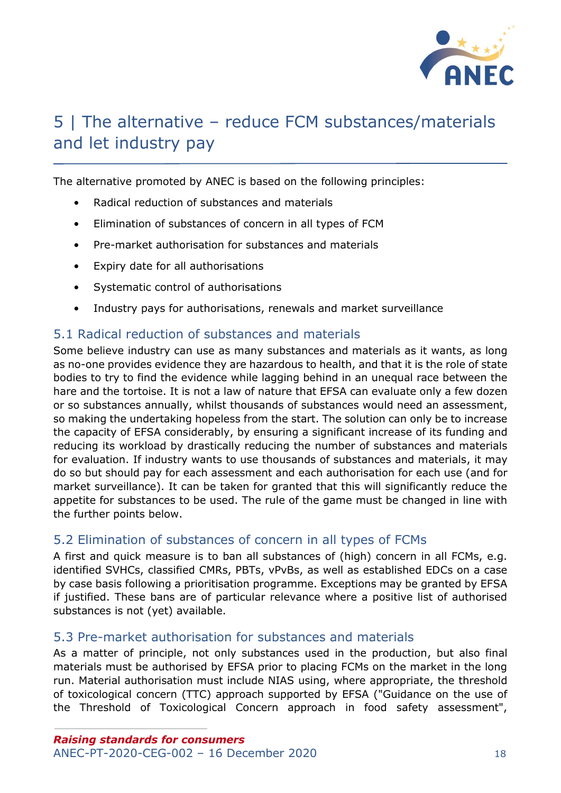

## <span id="page-17-0"></span>5 | The alternative – reduce FCM substances/materials and let industry pay

The alternative promoted by ANEC is based on the following principles:

- Radical reduction of substances and materials
- Elimination of substances of concern in all types of FCM
- Pre-market authorisation for substances and materials
- Expiry date for all authorisations
- Systematic control of authorisations
- Industry pays for authorisations, renewals and market surveillance

#### <span id="page-17-1"></span>5.1 Radical reduction of substances and materials

Some believe industry can use as many substances and materials as it wants, as long as no-one provides evidence they are hazardous to health, and that it is the role of state bodies to try to find the evidence while lagging behind in an unequal race between the hare and the tortoise. It is not a law of nature that EFSA can evaluate only a few dozen or so substances annually, whilst thousands of substances would need an assessment, so making the undertaking hopeless from the start. The solution can only be to increase the capacity of EFSA considerably, by ensuring a significant increase of its funding and reducing its workload by drastically reducing the number of substances and materials for evaluation. If industry wants to use thousands of substances and materials, it may do so but should pay for each assessment and each authorisation for each use (and for market surveillance). It can be taken for granted that this will significantly reduce the appetite for substances to be used. The rule of the game must be changed in line with the further points below.

#### <span id="page-17-2"></span>5.2 Elimination of substances of concern in all types of FCMs

A first and quick measure is to ban all substances of (high) concern in all FCMs, e.g. identified SVHCs, classified CMRs, PBTs, vPvBs, as well as established EDCs on a case by case basis following a prioritisation programme. Exceptions may be granted by EFSA if justified. These bans are of particular relevance where a positive list of authorised substances is not (yet) available.

#### <span id="page-17-3"></span>5.3 Pre-market authorisation for substances and materials

As a matter of principle, not only substances used in the production, but also final materials must be authorised by EFSA prior to placing FCMs on the market in the long run. Material authorisation must include NIAS using, where appropriate, the threshold of toxicological concern (TTC) approach supported by EFSA ("Guidance on the use of the Threshold of Toxicological Concern approach in food safety assessment",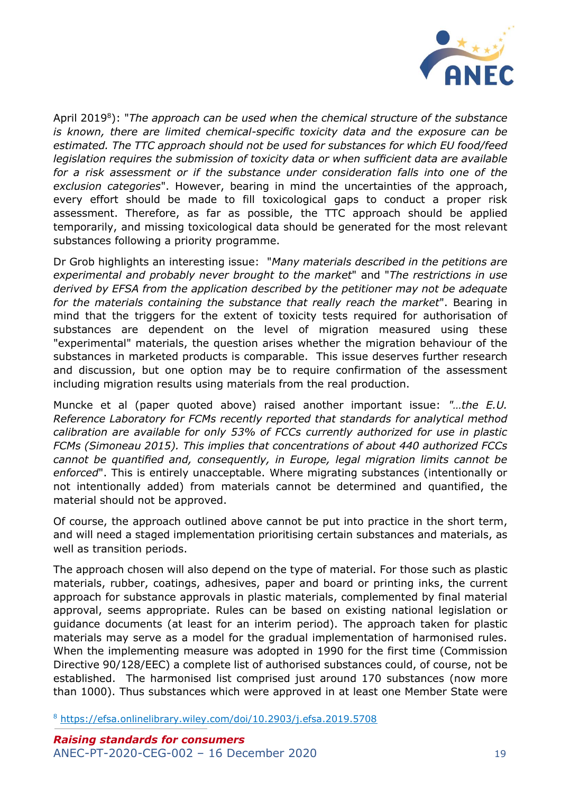

April 2019<sup>8</sup>): "The approach can be used when the chemical structure of the substance *is known, there are limited chemical-specific toxicity data and the exposure can be estimated. The TTC approach should not be used for substances for which EU food/feed legislation requires the submission of toxicity data or when sufficient data are available for a risk assessment or if the substance under consideration falls into one of the exclusion categories*". However, bearing in mind the uncertainties of the approach, every effort should be made to fill toxicological gaps to conduct a proper risk assessment. Therefore, as far as possible, the TTC approach should be applied temporarily, and missing toxicological data should be generated for the most relevant substances following a priority programme.

Dr Grob highlights an interesting issue: "*Many materials described in the petitions are experimental and probably never brought to the market*" and "*The restrictions in use derived by EFSA from the application described by the petitioner may not be adequate for the materials containing the substance that really reach the market*". Bearing in mind that the triggers for the extent of toxicity tests required for authorisation of substances are dependent on the level of migration measured using these "experimental" materials, the question arises whether the migration behaviour of the substances in marketed products is comparable. This issue deserves further research and discussion, but one option may be to require confirmation of the assessment including migration results using materials from the real production.

Muncke et al (paper quoted above) raised another important issue: *"…the E.U. Reference Laboratory for FCMs recently reported that standards for analytical method calibration are available for only 53% of FCCs currently authorized for use in plastic FCMs (Simoneau 2015). This implies that concentrations of about 440 authorized FCCs cannot be quantified and, consequently, in Europe, legal migration limits cannot be enforced*". This is entirely unacceptable. Where migrating substances (intentionally or not intentionally added) from materials cannot be determined and quantified, the material should not be approved.

Of course, the approach outlined above cannot be put into practice in the short term, and will need a staged implementation prioritising certain substances and materials, as well as transition periods.

The approach chosen will also depend on the type of material. For those such as plastic materials, rubber, coatings, adhesives, paper and board or printing inks, the current approach for substance approvals in plastic materials, complemented by final material approval, seems appropriate. Rules can be based on existing national legislation or guidance documents (at least for an interim period). The approach taken for plastic materials may serve as a model for the gradual implementation of harmonised rules. When the implementing measure was adopted in 1990 for the first time (Commission Directive 90/128/EEC) a complete list of authorised substances could, of course, not be established. The harmonised list comprised just around 170 substances (now more than 1000). Thus substances which were approved in at least one Member State were

<sup>8</sup> <https://efsa.onlinelibrary.wiley.com/doi/10.2903/j.efsa.2019.5708>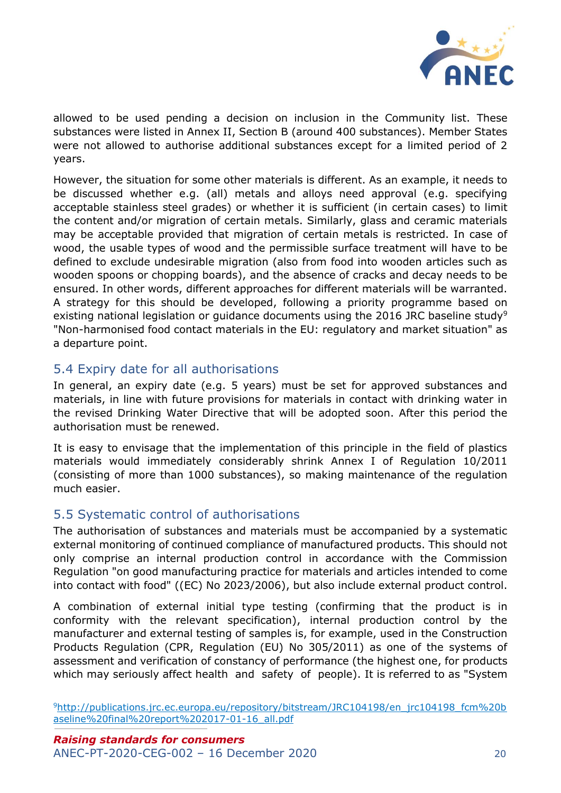

allowed to be used pending a decision on inclusion in the Community list. These substances were listed in Annex II, Section B (around 400 substances). Member States were not allowed to authorise additional substances except for a limited period of 2 years.

However, the situation for some other materials is different. As an example, it needs to be discussed whether e.g. (all) metals and alloys need approval (e.g. specifying acceptable stainless steel grades) or whether it is sufficient (in certain cases) to limit the content and/or migration of certain metals. Similarly, glass and ceramic materials may be acceptable provided that migration of certain metals is restricted. In case of wood, the usable types of wood and the permissible surface treatment will have to be defined to exclude undesirable migration (also from food into wooden articles such as wooden spoons or chopping boards), and the absence of cracks and decay needs to be ensured. In other words, different approaches for different materials will be warranted. A strategy for this should be developed, following a priority programme based on existing national legislation or guidance documents using the 2016 JRC baseline study<sup>9</sup> "Non-harmonised food contact materials in the EU: regulatory and market situation" as a departure point.

#### <span id="page-19-0"></span>5.4 Expiry date for all authorisations

In general, an expiry date (e.g. 5 years) must be set for approved substances and materials, in line with future provisions for materials in contact with drinking water in the revised Drinking Water Directive that will be adopted soon. After this period the authorisation must be renewed.

It is easy to envisage that the implementation of this principle in the field of plastics materials would immediately considerably shrink Annex I of Regulation 10/2011 (consisting of more than 1000 substances), so making maintenance of the regulation much easier.

#### <span id="page-19-1"></span>5.5 Systematic control of authorisations

The authorisation of substances and materials must be accompanied by a systematic external monitoring of continued compliance of manufactured products. This should not only comprise an internal production control in accordance with the Commission Regulation "on good manufacturing practice for materials and articles intended to come into contact with food" ((EC) No 2023/2006), but also include external product control.

A combination of external initial type testing (confirming that the product is in conformity with the relevant specification), internal production control by the manufacturer and external testing of samples is, for example, used in the Construction Products Regulation (CPR, Regulation (EU) No 305/2011) as one of the systems of assessment and verification of constancy of performance (the highest one, for products which may seriously affect health and safety of people). It is referred to as "System

<sup>9</sup>[http://publications.jrc.ec.europa.eu/repository/bitstream/JRC104198/en\\_jrc104198\\_fcm%20b](http://publications.jrc.ec.europa.eu/repository/bitstream/JRC104198/en_jrc104198_fcm%20baseline%20final%20report%202017-01-16_all.pdf) [aseline%20final%20report%202017-01-16\\_all.pdf](http://publications.jrc.ec.europa.eu/repository/bitstream/JRC104198/en_jrc104198_fcm%20baseline%20final%20report%202017-01-16_all.pdf)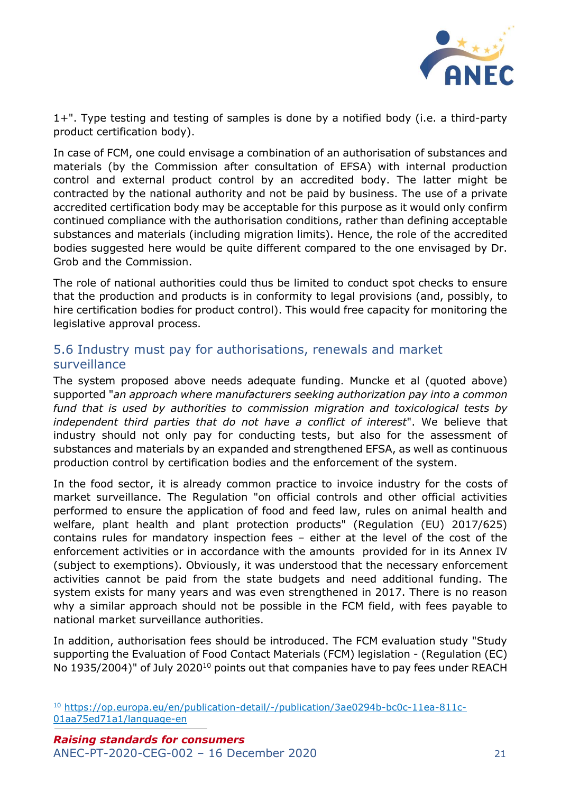

1+". Type testing and testing of samples is done by a notified body (i.e. a third-party product certification body).

In case of FCM, one could envisage a combination of an authorisation of substances and materials (by the Commission after consultation of EFSA) with internal production control and external product control by an accredited body. The latter might be contracted by the national authority and not be paid by business. The use of a private accredited certification body may be acceptable for this purpose as it would only confirm continued compliance with the authorisation conditions, rather than defining acceptable substances and materials (including migration limits). Hence, the role of the accredited bodies suggested here would be quite different compared to the one envisaged by Dr. Grob and the Commission.

The role of national authorities could thus be limited to conduct spot checks to ensure that the production and products is in conformity to legal provisions (and, possibly, to hire certification bodies for product control). This would free capacity for monitoring the legislative approval process.

#### <span id="page-20-0"></span>5.6 Industry must pay for authorisations, renewals and market surveillance

The system proposed above needs adequate funding. Muncke et al (quoted above) supported "*an approach where manufacturers seeking authorization pay into a common fund that is used by authorities to commission migration and toxicological tests by independent third parties that do not have a conflict of interest*". We believe that industry should not only pay for conducting tests, but also for the assessment of substances and materials by an expanded and strengthened EFSA, as well as continuous production control by certification bodies and the enforcement of the system.

In the food sector, it is already common practice to invoice industry for the costs of market surveillance. The Regulation "on official controls and other official activities performed to ensure the application of food and feed law, rules on animal health and welfare, plant health and plant protection products" (Regulation (EU) 2017/625) contains rules for mandatory inspection fees – either at the level of the cost of the enforcement activities or in accordance with the amounts provided for in its Annex IV (subject to exemptions). Obviously, it was understood that the necessary enforcement activities cannot be paid from the state budgets and need additional funding. The system exists for many years and was even strengthened in 2017. There is no reason why a similar approach should not be possible in the FCM field, with fees payable to national market surveillance authorities.

In addition, authorisation fees should be introduced. The FCM evaluation study "Study supporting the Evaluation of Food Contact Materials (FCM) legislation - (Regulation (EC) No 1935/2004)" of July 2020<sup>10</sup> points out that companies have to pay fees under REACH

<sup>10</sup> [https://op.europa.eu/en/publication-detail/-/publication/3ae0294b-bc0c-11ea-811c-](https://op.europa.eu/en/publication-detail/-/publication/3ae0294b-bc0c-11ea-811c-01aa75ed71a1/language-en)[01aa75ed71a1/language-en](https://op.europa.eu/en/publication-detail/-/publication/3ae0294b-bc0c-11ea-811c-01aa75ed71a1/language-en)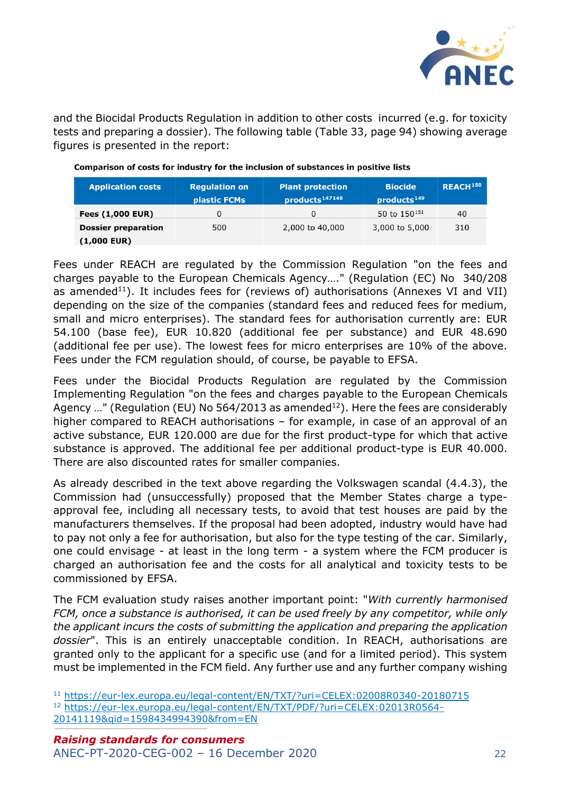

and the Biocidal Products Regulation in addition to other costs incurred (e.g. for toxicity tests and preparing a dossier). The following table (Table 33, page 94) showing average figures is presented in the report:

| <b>Application costs</b>   | <b>Regulation on</b><br>plastic FCMs | <b>Plant protection</b><br>products <sup>147148</sup> | <b>Biocide</b><br>products <sup>149</sup> | REACH <sup>150</sup> |
|----------------------------|--------------------------------------|-------------------------------------------------------|-------------------------------------------|----------------------|
| <b>Fees (1,000 EUR)</b>    | 0                                    | 0                                                     | 50 to 150 <sup>151</sup>                  | 40                   |
| <b>Dossier preparation</b> | 500                                  | 2,000 to 40,000                                       | 3,000 to 5,000                            | 310                  |
| $(1,000$ EUR)              |                                      |                                                       |                                           |                      |

| Comparison of costs for industry for the inclusion of substances in positive lists |  |  |
|------------------------------------------------------------------------------------|--|--|
|                                                                                    |  |  |

Fees under REACH are regulated by the Commission Regulation "on the fees and charges payable to the European Chemicals Agency…." (Regulation (EC) No 340/208 as amended<sup>11</sup>). It includes fees for (reviews of) authorisations (Annexes VI and VII) depending on the size of the companies (standard fees and reduced fees for medium, small and micro enterprises). The standard fees for authorisation currently are: EUR 54.100 (base fee), EUR 10.820 (additional fee per substance) and EUR 48.690 (additional fee per use). The lowest fees for micro enterprises are 10% of the above. Fees under the FCM regulation should, of course, be payable to EFSA.

Fees under the Biocidal Products Regulation are regulated by the Commission Implementing Regulation "on the fees and charges payable to the European Chemicals Agency ..." (Regulation (EU) No 564/2013 as amended<sup>12</sup>). Here the fees are considerably higher compared to REACH authorisations – for example, in case of an approval of an active substance, EUR 120.000 are due for the first product-type for which that active substance is approved. The additional fee per additional product-type is EUR 40.000. There are also discounted rates for smaller companies.

As already described in the text above regarding the Volkswagen scandal (4.4.3), the Commission had (unsuccessfully) proposed that the Member States charge a typeapproval fee, including all necessary tests, to avoid that test houses are paid by the manufacturers themselves. If the proposal had been adopted, industry would have had to pay not only a fee for authorisation, but also for the type testing of the car. Similarly, one could envisage - at least in the long term - a system where the FCM producer is charged an authorisation fee and the costs for all analytical and toxicity tests to be commissioned by EFSA.

The FCM evaluation study raises another important point: "*With currently harmonised FCM, once a substance is authorised, it can be used freely by any competitor, while only the applicant incurs the costs of submitting the application and preparing the application dossier*". This is an entirely unacceptable condition. In REACH, authorisations are granted only to the applicant for a specific use (and for a limited period). This system must be implemented in the FCM field. Any further use and any further company wishing

<sup>11</sup> <https://eur-lex.europa.eu/legal-content/EN/TXT/?uri=CELEX:02008R0340-20180715> <sup>12</sup> [https://eur-lex.europa.eu/legal-content/EN/TXT/PDF/?uri=CELEX:02013R0564-](https://eur-lex.europa.eu/legal-content/EN/TXT/PDF/?uri=CELEX:02013R0564-20141119&qid=1598434994390&from=EN) [20141119&qid=1598434994390&from=EN](https://eur-lex.europa.eu/legal-content/EN/TXT/PDF/?uri=CELEX:02013R0564-20141119&qid=1598434994390&from=EN)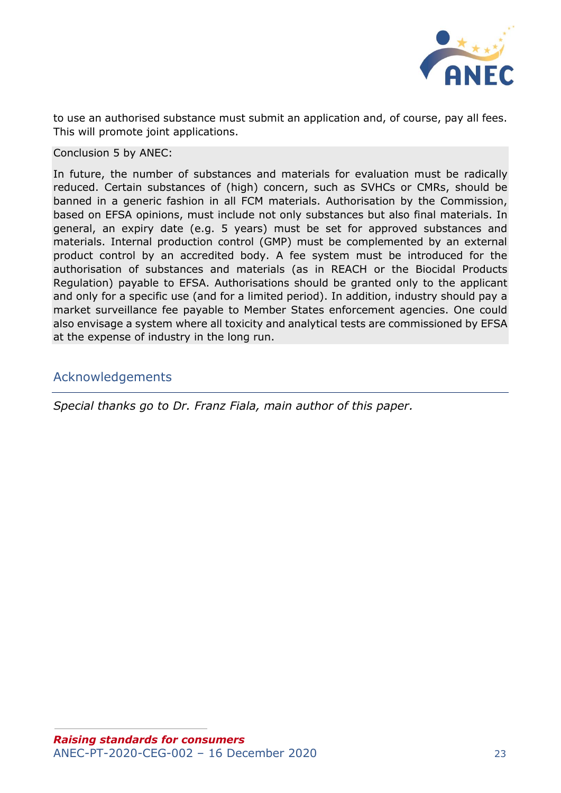

to use an authorised substance must submit an application and, of course, pay all fees. This will promote joint applications.

Conclusion 5 by ANEC:

In future, the number of substances and materials for evaluation must be radically reduced. Certain substances of (high) concern, such as SVHCs or CMRs, should be banned in a generic fashion in all FCM materials. Authorisation by the Commission, based on EFSA opinions, must include not only substances but also final materials. In general, an expiry date (e.g. 5 years) must be set for approved substances and materials. Internal production control (GMP) must be complemented by an external product control by an accredited body. A fee system must be introduced for the authorisation of substances and materials (as in REACH or the Biocidal Products Regulation) payable to EFSA. Authorisations should be granted only to the applicant and only for a specific use (and for a limited period). In addition, industry should pay a market surveillance fee payable to Member States enforcement agencies. One could also envisage a system where all toxicity and analytical tests are commissioned by EFSA at the expense of industry in the long run.

#### <span id="page-22-0"></span>Acknowledgements

*Special thanks go to Dr. Franz Fiala, main author of this paper.*